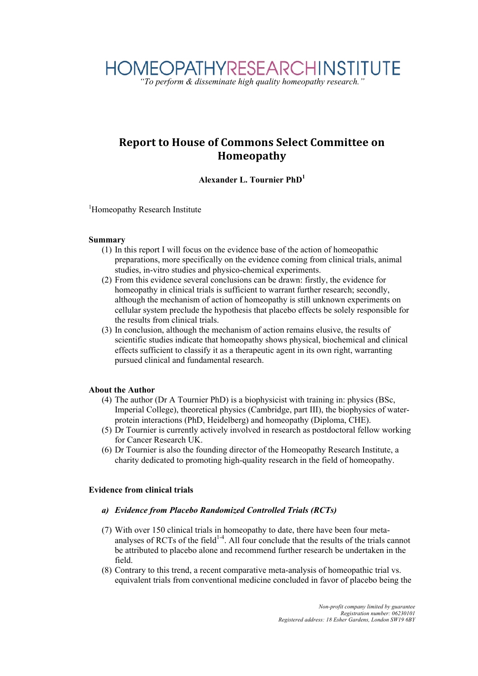### **Report
to
House
of
Commons
Select
Committee
on Homeopathy**

### **Alexander L. Tournier PhD1**

<sup>1</sup>Homeopathy Research Institute

### **Summary**

- (1) In this report I will focus on the evidence base of the action of homeopathic preparations, more specifically on the evidence coming from clinical trials, animal studies, in-vitro studies and physico-chemical experiments.
- (2) From this evidence several conclusions can be drawn: firstly, the evidence for homeopathy in clinical trials is sufficient to warrant further research; secondly, although the mechanism of action of homeopathy is still unknown experiments on cellular system preclude the hypothesis that placebo effects be solely responsible for the results from clinical trials.
- (3) In conclusion, although the mechanism of action remains elusive, the results of scientific studies indicate that homeopathy shows physical, biochemical and clinical effects sufficient to classify it as a therapeutic agent in its own right, warranting pursued clinical and fundamental research.

### **About the Author**

- (4) The author (Dr A Tournier PhD) is a biophysicist with training in: physics (BSc, Imperial College), theoretical physics (Cambridge, part III), the biophysics of waterprotein interactions (PhD, Heidelberg) and homeopathy (Diploma, CHE).
- (5) Dr Tournier is currently actively involved in research as postdoctoral fellow working for Cancer Research UK.
- (6) Dr Tournier is also the founding director of the Homeopathy Research Institute, a charity dedicated to promoting high-quality research in the field of homeopathy.

### **Evidence from clinical trials**

- *a) Evidence from Placebo Randomized Controlled Trials (RCTs)*
- (7) With over 150 clinical trials in homeopathy to date, there have been four metaanalyses of RCTs of the field $1-4$ . All four conclude that the results of the trials cannot be attributed to placebo alone and recommend further research be undertaken in the field.
- (8) Contrary to this trend, a recent comparative meta-analysis of homeopathic trial vs. equivalent trials from conventional medicine concluded in favor of placebo being the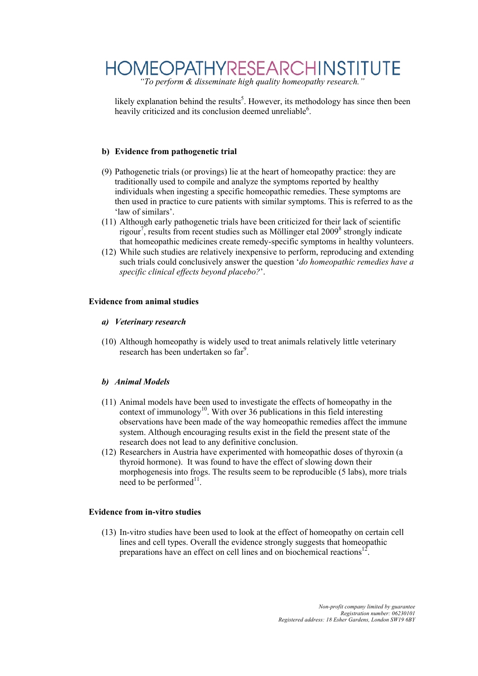# *"To perform & disseminate high quality homeopathy research."*

likely explanation behind the results<sup>5</sup>. However, its methodology has since then been heavily criticized and its conclusion deemed unreliable<sup>6</sup>.

### **b) Evidence from pathogenetic trial**

- (9) Pathogenetic trials (or provings) lie at the heart of homeopathy practice: they are traditionally used to compile and analyze the symptoms reported by healthy individuals when ingesting a specific homeopathic remedies. These symptoms are then used in practice to cure patients with similar symptoms. This is referred to as the 'law of similars'.
- (11) Although early pathogenetic trials have been criticized for their lack of scientific rigour<sup>7</sup>, results from recent studies such as Möllinger etal 2009<sup>8</sup> strongly indicate that homeopathic medicines create remedy-specific symptoms in healthy volunteers.
- (12) While such studies are relatively inexpensive to perform, reproducing and extending such trials could conclusively answer the question '*do homeopathic remedies have a specific clinical effects beyond placebo?*'.

### **Evidence from animal studies**

- *a) Veterinary research*
- (10) Although homeopathy is widely used to treat animals relatively little veterinary research has been undertaken so far<sup>9</sup>.

### *b) Animal Models*

- (11) Animal models have been used to investigate the effects of homeopathy in the context of immunology<sup>10</sup>. With over 36 publications in this field interesting observations have been made of the way homeopathic remedies affect the immune system. Although encouraging results exist in the field the present state of the research does not lead to any definitive conclusion.
- (12) Researchers in Austria have experimented with homeopathic doses of thyroxin (a thyroid hormone). It was found to have the effect of slowing down their morphogenesis into frogs. The results seem to be reproducible (5 labs), more trials need to be performed $^{11}$ .

### **Evidence from in-vitro studies**

(13) In-vitro studies have been used to look at the effect of homeopathy on certain cell lines and cell types. Overall the evidence strongly suggests that homeopathic preparations have an effect on cell lines and on biochemical reactions<sup>12</sup>.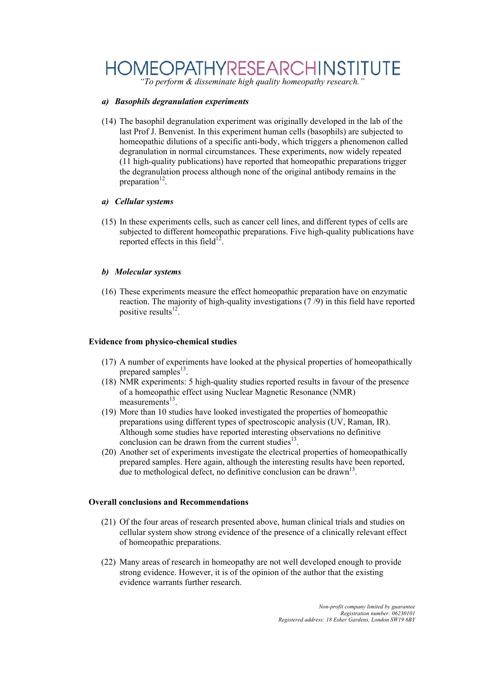## **HOMEOPATHYRESEARCHINSTITUTE**

*"To perform & disseminate high quality homeopathy research."*

### *a) Basophils degranulation experiments*

(14) The basophil degranulation experiment was originally developed in the lab of the last Prof J. Benvenist. In this experiment human cells (basophils) are subjected to homeopathic dilutions of a specific anti-body, which triggers a phenomenon called degranulation in normal circumstances. These experiments, now widely repeated (11 high-quality publications) have reported that homeopathic preparations trigger the degranulation process although none of the original antibody remains in the preparation $12$ .

### *a) Cellular systems*

(15) In these experiments cells, such as cancer cell lines, and different types of cells are subjected to different homeopathic preparations. Five high-quality publications have reported effects in this field<sup>12</sup>.

### *b) Molecular systems*

(16) These experiments measure the effect homeopathic preparation have on enzymatic reaction. The majority of high-quality investigations (7 /9) in this field have reported positive results $12<sup>2</sup>$ .

### **Evidence from physico-chemical studies**

- (17) A number of experiments have looked at the physical properties of homeopathically prepared samples $^{13}$ .
- (18) NMR experiments: 5 high-quality studies reported results in favour of the presence of a homeopathic effect using Nuclear Magnetic Resonance (NMR)  $measurements<sup>13</sup>$ .
- (19) More than 10 studies have looked investigated the properties of homeopathic preparations using different types of spectroscopic analysis (UV, Raman, IR). Although some studies have reported interesting observations no definitive conclusion can be drawn from the current studies $^{13}$ .
- (20) Another set of experiments investigate the electrical properties of homeopathically prepared samples. Here again, although the interesting results have been reported, due to methological defect, no definitive conclusion can be drawn<sup>13</sup>.

### **Overall conclusions and Recommendations**

- (21) Of the four areas of research presented above, human clinical trials and studies on cellular system show strong evidence of the presence of a clinically relevant effect of homeopathic preparations.
- (22) Many areas of research in homeopathy are not well developed enough to provide strong evidence. However, it is of the opinion of the author that the existing evidence warrants further research.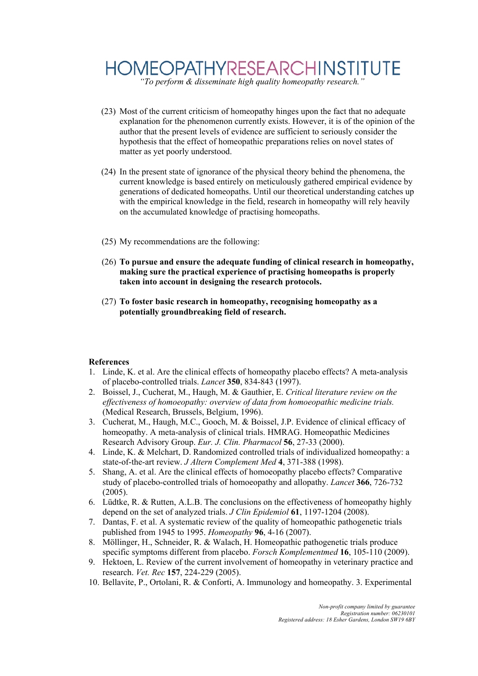## **HOMEOPATHYRESEARCHINSTITUTE** *"To perform & disseminate high quality homeopathy research."*

- (23) Most of the current criticism of homeopathy hinges upon the fact that no adequate explanation for the phenomenon currently exists. However, it is of the opinion of the author that the present levels of evidence are sufficient to seriously consider the hypothesis that the effect of homeopathic preparations relies on novel states of matter as yet poorly understood.
- (24) In the present state of ignorance of the physical theory behind the phenomena, the current knowledge is based entirely on meticulously gathered empirical evidence by generations of dedicated homeopaths. Until our theoretical understanding catches up with the empirical knowledge in the field, research in homeopathy will rely heavily on the accumulated knowledge of practising homeopaths.
- (25) My recommendations are the following:
- (26) **To pursue and ensure the adequate funding of clinical research in homeopathy, making sure the practical experience of practising homeopaths is properly taken into account in designing the research protocols.**
- (27) **To foster basic research in homeopathy, recognising homeopathy as a potentially groundbreaking field of research.**

### **References**

- 1. Linde, K. et al. Are the clinical effects of homeopathy placebo effects? A meta-analysis of placebo-controlled trials. *Lancet* **350**, 834-843 (1997).
- 2. Boissel, J., Cucherat, M., Haugh, M. & Gauthier, E. *Critical literature review on the effectiveness of homoeopathy: overview of data from homoeopathic medicine trials.* (Medical Research, Brussels, Belgium, 1996).
- 3. Cucherat, M., Haugh, M.C., Gooch, M. & Boissel, J.P. Evidence of clinical efficacy of homeopathy. A meta-analysis of clinical trials. HMRAG. Homeopathic Medicines Research Advisory Group. *Eur. J. Clin. Pharmacol* **56**, 27-33 (2000).
- 4. Linde, K. & Melchart, D. Randomized controlled trials of individualized homeopathy: a state-of-the-art review. *J Altern Complement Med* **4**, 371-388 (1998).
- 5. Shang, A. et al. Are the clinical effects of homoeopathy placebo effects? Comparative study of placebo-controlled trials of homoeopathy and allopathy. *Lancet* **366**, 726-732 (2005).
- 6. Lüdtke, R. & Rutten, A.L.B. The conclusions on the effectiveness of homeopathy highly depend on the set of analyzed trials. *J Clin Epidemiol* **61**, 1197-1204 (2008).
- 7. Dantas, F. et al. A systematic review of the quality of homeopathic pathogenetic trials published from 1945 to 1995. *Homeopathy* **96**, 4-16 (2007).
- 8. Möllinger, H., Schneider, R. & Walach, H. Homeopathic pathogenetic trials produce specific symptoms different from placebo. *Forsch Komplementmed* **16**, 105-110 (2009).
- 9. Hektoen, L. Review of the current involvement of homeopathy in veterinary practice and research. *Vet. Rec* **157**, 224-229 (2005).
- 10. Bellavite, P., Ortolani, R. & Conforti, A. Immunology and homeopathy. 3. Experimental